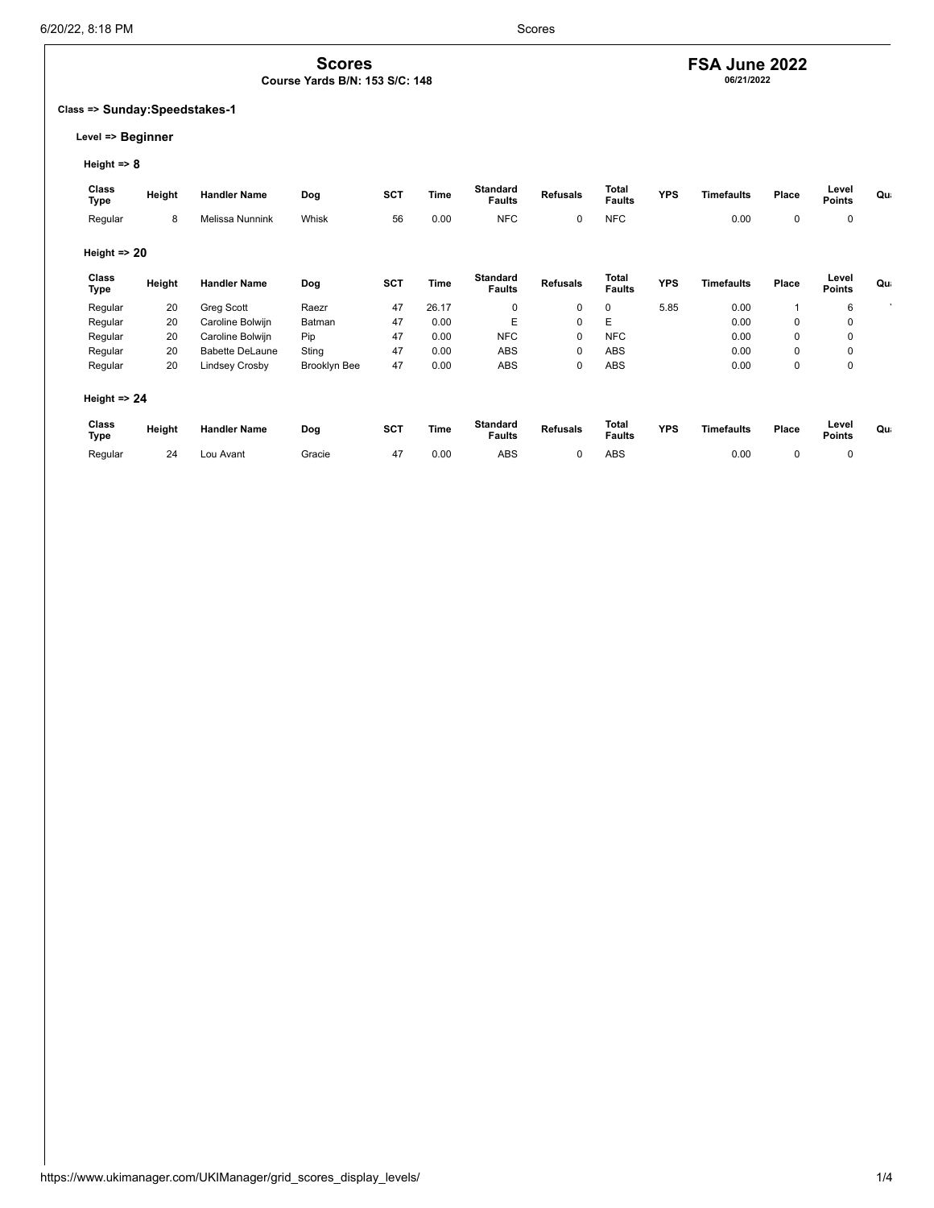## **FSA June 2022 06/21/2022**

### **Class => Sunday:Speedstakes-1**

### **Level => Beginner**

**Height => 8**

| Class<br>Type           | Height | <b>Handler Name</b>    | Dog                 | <b>SCT</b> | Time  | Standard<br><b>Faults</b>        | <b>Refusals</b> | <b>Total</b><br><b>Faults</b> | <b>YPS</b> | <b>Timefaults</b> | Place       | Level<br><b>Points</b> | Qu |
|-------------------------|--------|------------------------|---------------------|------------|-------|----------------------------------|-----------------|-------------------------------|------------|-------------------|-------------|------------------------|----|
| Regular                 | 8      | Melissa Nunnink        | Whisk               | 56         | 0.00  | <b>NFC</b>                       | 0               | <b>NFC</b>                    |            | 0.00              | 0           | 0                      |    |
| Height $\Rightarrow$ 20 |        |                        |                     |            |       |                                  |                 |                               |            |                   |             |                        |    |
| Class<br>Type           | Height | <b>Handler Name</b>    | Dog                 | <b>SCT</b> | Time  | <b>Standard</b><br><b>Faults</b> | <b>Refusals</b> | <b>Total</b><br><b>Faults</b> | <b>YPS</b> | <b>Timefaults</b> | Place       | Level<br><b>Points</b> | Qu |
| Regular                 | 20     | Greg Scott             | Raezr               | 47         | 26.17 | $\mathbf 0$                      | $\mathbf 0$     | 0                             | 5.85       | 0.00              |             | 6                      |    |
| Regular                 | 20     | Caroline Bolwijn       | Batman              | 47         | 0.00  | E                                | $\mathbf 0$     | E                             |            | 0.00              | $\mathbf 0$ | $\mathbf 0$            |    |
| Regular                 | 20     | Caroline Bolwijn       | Pip                 | 47         | 0.00  | <b>NFC</b>                       | $\mathbf 0$     | <b>NFC</b>                    |            | 0.00              | $\mathbf 0$ | 0                      |    |
| Regular                 | 20     | <b>Babette DeLaune</b> | Sting               | 47         | 0.00  | ABS                              | 0               | <b>ABS</b>                    |            | 0.00              | 0           | 0                      |    |
| Regular                 | 20     | Lindsey Crosby         | <b>Brooklyn Bee</b> | 47         | 0.00  | <b>ABS</b>                       | 0               | ABS                           |            | 0.00              | 0           | 0                      |    |
| Height $\Rightarrow$ 24 |        |                        |                     |            |       |                                  |                 |                               |            |                   |             |                        |    |
| <b>Class</b><br>Type    | Height | <b>Handler Name</b>    | Dog                 | <b>SCT</b> | Time  | <b>Standard</b><br><b>Faults</b> | <b>Refusals</b> | <b>Total</b><br><b>Faults</b> | <b>YPS</b> | <b>Timefaults</b> | Place       | Level<br><b>Points</b> | Qu |
| Regular                 | 24     | Lou Avant              | Gracie              | 47         | 0.00  | <b>ABS</b>                       | 0               | ABS                           |            | 0.00              | $\mathbf 0$ | $\mathbf 0$            |    |

**Scores Course Yards B/N: 153 S/C: 148**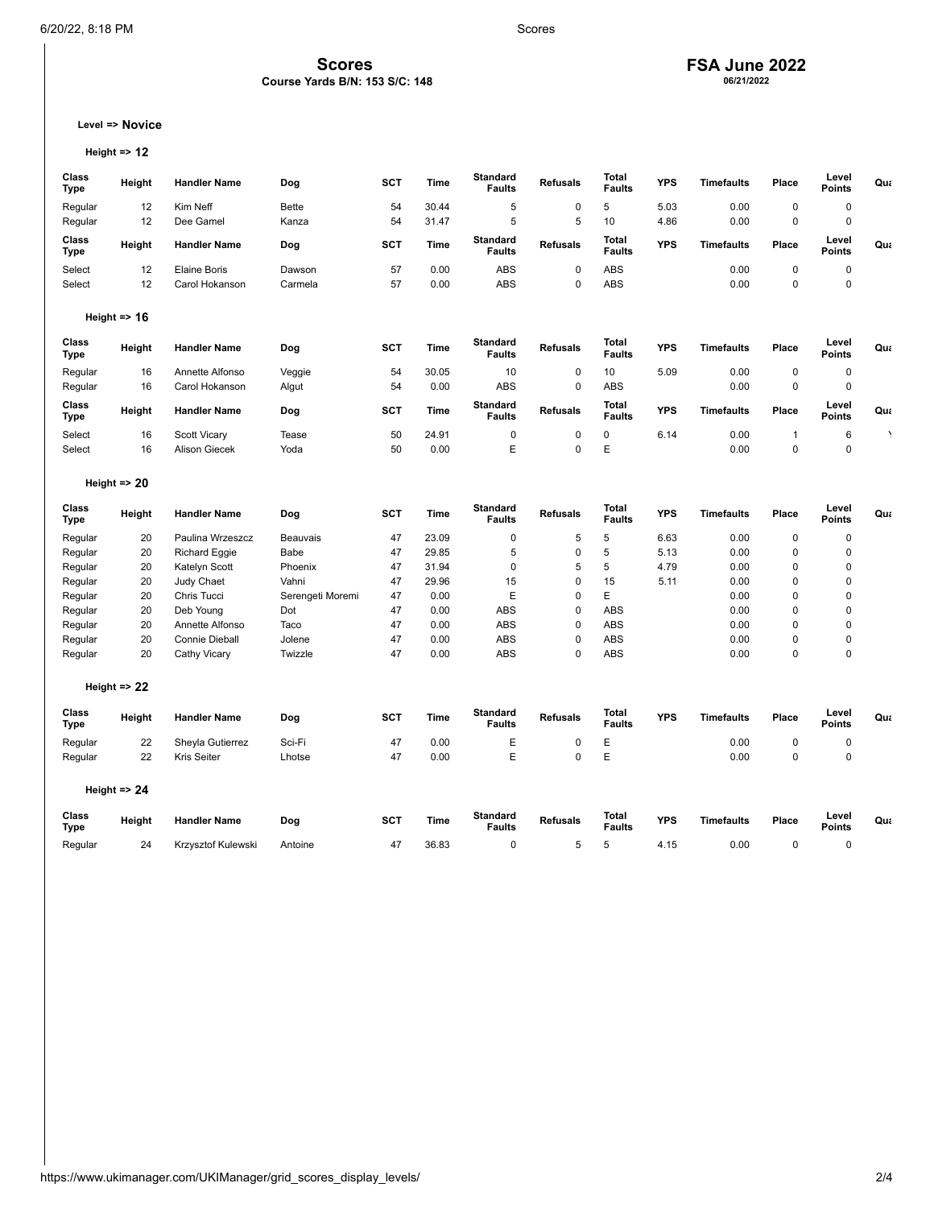### **Scores**

### **Course Yards B/N: 153 S/C: 148**

## **FSA June 2022 06/21/2022**

**Level => Novice**

```
Height => 12
```

| Class<br>Type | Height                  | <b>Handler Name</b> | Dog          | <b>SCT</b> | <b>Time</b> | Standard<br><b>Faults</b> | <b>Refusals</b> | <b>Total</b><br><b>Faults</b> | <b>YPS</b> | <b>Timefaults</b> | Place | Level<br><b>Points</b> | Qua |
|---------------|-------------------------|---------------------|--------------|------------|-------------|---------------------------|-----------------|-------------------------------|------------|-------------------|-------|------------------------|-----|
| Regular       | 12                      | Kim Neff            | <b>Bette</b> | 54         | 30.44       | 5                         | 0               | 5                             | 5.03       | 0.00              | 0     | 0                      |     |
| Regular       | 12                      | Dee Gamel           | Kanza        | 54         | 31.47       | 5                         | 5               | 10                            | 4.86       | 0.00              | 0     | $\mathbf 0$            |     |
| Class<br>Type | Height                  | <b>Handler Name</b> | Dog          | <b>SCT</b> | <b>Time</b> | Standard<br><b>Faults</b> | <b>Refusals</b> | <b>Total</b><br><b>Faults</b> | <b>YPS</b> | <b>Timefaults</b> | Place | Level<br><b>Points</b> | Qua |
| Select        | 12                      | Elaine Boris        | Dawson       | 57         | 0.00        | <b>ABS</b>                | 0               | <b>ABS</b>                    |            | 0.00              | 0     | $\mathbf 0$            |     |
| Select        | 12                      | Carol Hokanson      | Carmela      | 57         | 0.00        | ABS                       | 0               | ABS                           |            | 0.00              | 0     | $\mathbf 0$            |     |
|               | Height $\Rightarrow$ 16 |                     |              |            |             |                           |                 |                               |            |                   |       |                        |     |

| Class<br>Type | Height | <b>Handler Name</b> | Dog    | SC1             | Time        | <b>Standard</b><br><b>Faults</b> | <b>Refusals</b> | Total<br><b>Faults</b> | <b>YPS</b> | <b>Timefaults</b> | Place | Level<br><b>Points</b> | Qua |
|---------------|--------|---------------------|--------|-----------------|-------------|----------------------------------|-----------------|------------------------|------------|-------------------|-------|------------------------|-----|
| Regular       | 16     | Annette Alfonso     | Veggie | 54              | 30.05       | 10                               |                 | 10                     | 5.09       | 0.00              |       |                        |     |
| Regular       | 16     | Carol Hokanson      | Algut  | 54              | 0.00        | ABS                              | 0               | <b>ABS</b>             |            | 0.00              |       |                        |     |
|               |        |                     |        |                 |             |                                  |                 |                        |            |                   |       |                        |     |
| Class<br>Type | Height | <b>Handler Name</b> | Dog    | SC <sub>1</sub> | <b>Time</b> | <b>Standard</b><br><b>Faults</b> | <b>Refusals</b> | Total<br><b>Faults</b> | <b>YPS</b> | <b>Timefaults</b> | Place | Level<br><b>Points</b> | Qua |
| Select        | 16     | <b>Scott Vicarv</b> | Tease  | 50              | 24.91       | ι.                               | 0               |                        | 6.14       | 0.00              |       |                        |     |

| Height $\Rightarrow$ 20 |  |  |
|-------------------------|--|--|
|-------------------------|--|--|

| <b>Class</b><br>Type | Height                  | <b>Handler Name</b>   | Dog              | <b>SCT</b> | Time        | <b>Standard</b><br><b>Faults</b> | <b>Refusals</b> | Total<br><b>Faults</b>        | <b>YPS</b> | <b>Timefaults</b> | Place       | Level<br><b>Points</b> | Qua |
|----------------------|-------------------------|-----------------------|------------------|------------|-------------|----------------------------------|-----------------|-------------------------------|------------|-------------------|-------------|------------------------|-----|
| Regular              | 20                      | Paulina Wrzeszcz      | Beauvais         | 47         | 23.09       | 0                                | 5               | 5                             | 6.63       | 0.00              | 0           | 0                      |     |
| Regular              | 20                      | <b>Richard Eggie</b>  | Babe             | 47         | 29.85       | 5                                | 0               | 5                             | 5.13       | 0.00              | 0           | 0                      |     |
| Regular              | 20                      | Katelyn Scott         | Phoenix          | 47         | 31.94       | 0                                | 5               | 5                             | 4.79       | 0.00              | 0           | 0                      |     |
| Regular              | 20                      | Judy Chaet            | Vahni            | 47         | 29.96       | 15                               | 0               | 15                            | 5.11       | 0.00              | 0           | 0                      |     |
| Regular              | 20                      | Chris Tucci           | Serengeti Moremi | 47         | 0.00        | E                                | 0               | E                             |            | 0.00              | 0           | 0                      |     |
| Regular              | 20                      | Deb Young             | Dot              | 47         | 0.00        | ABS                              | 0               | <b>ABS</b>                    |            | 0.00              | 0           | 0                      |     |
| Regular              | 20                      | Annette Alfonso       | Taco             | 47         | 0.00        | ABS                              | 0               | <b>ABS</b>                    |            | 0.00              | 0           | 0                      |     |
| Regular              | 20                      | <b>Connie Dieball</b> | Jolene           | 47         | 0.00        | ABS                              | 0               | <b>ABS</b>                    |            | 0.00              | 0           | 0                      |     |
| Regular              | 20                      | Cathy Vicary          | Twizzle          | 47         | 0.00        | ABS                              | 0               | ABS                           |            | 0.00              | 0           | $\mathbf 0$            |     |
|                      | Height $\Rightarrow$ 22 |                       |                  |            |             |                                  |                 |                               |            |                   |             |                        |     |
| <b>Class</b><br>Type | Height                  | <b>Handler Name</b>   | Dog              | <b>SCT</b> | <b>Time</b> | <b>Standard</b><br><b>Faults</b> | <b>Refusals</b> | <b>Total</b><br><b>Faults</b> | <b>YPS</b> | <b>Timefaults</b> | Place       | Level<br><b>Points</b> | Qua |
| Regular              | 22                      | Sheyla Gutierrez      | Sci-Fi           | 47         | 0.00        | E                                | 0               | Е                             |            | 0.00              | $\mathbf 0$ | $\mathbf 0$            |     |
| Regular              | 22                      | <b>Kris Seiter</b>    | Lhotse           | 47         | 0.00        | E                                | 0               | E                             |            | 0.00              | $\mathbf 0$ | $\mathbf 0$            |     |
|                      | Height $\Rightarrow$ 24 |                       |                  |            |             |                                  |                 |                               |            |                   |             |                        |     |
| Class<br>Type        | Height                  | <b>Handler Name</b>   | Dog              | <b>SCT</b> | <b>Time</b> | <b>Standard</b><br><b>Faults</b> | <b>Refusals</b> | <b>Total</b><br><b>Faults</b> | <b>YPS</b> | <b>Timefaults</b> | Place       | Level<br><b>Points</b> | Qua |
| Regular              | 24                      | Krzysztof Kulewski    | Antoine          | 47         | 36.83       | 0                                | 5               | 5                             | 4.15       | 0.00              | 0           | 0                      |     |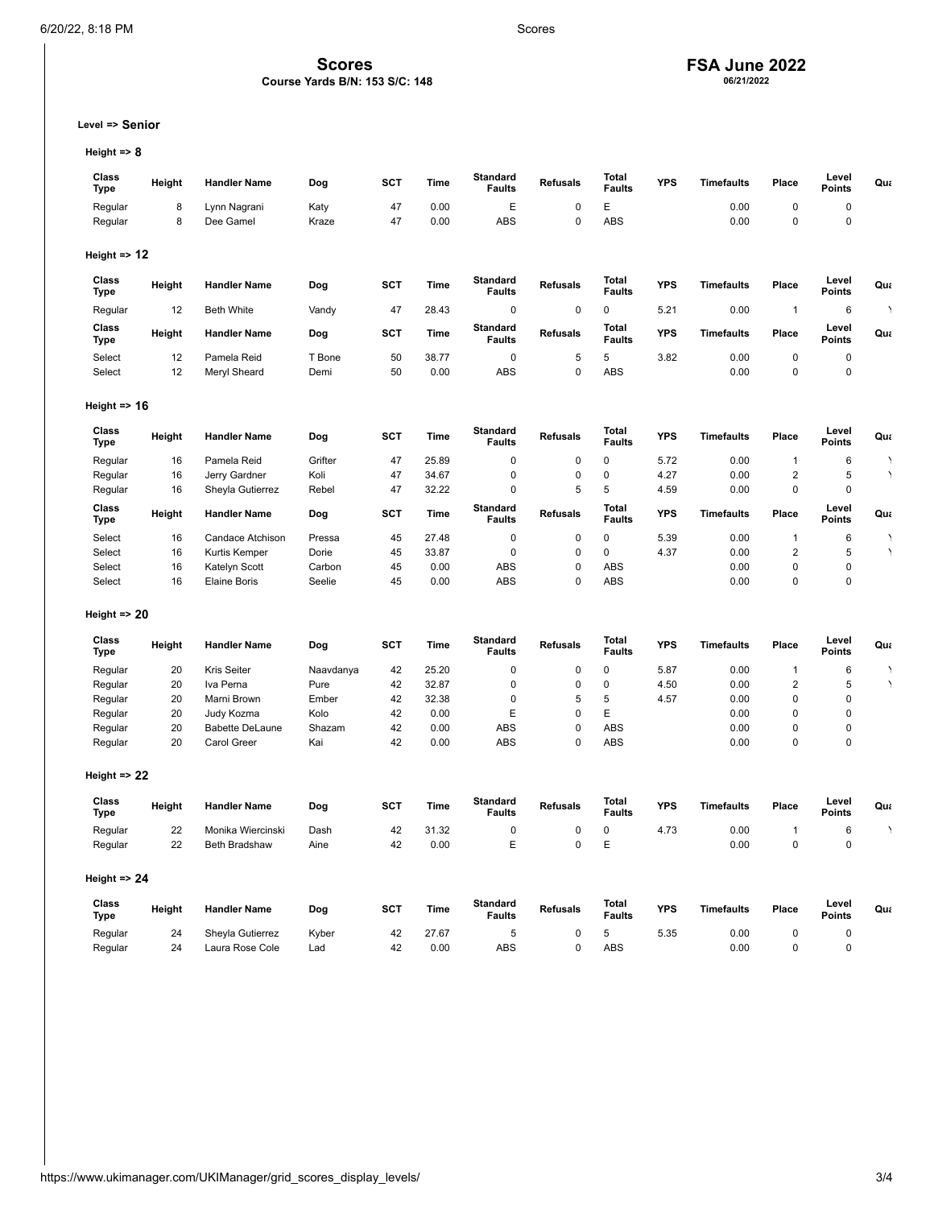### **Scores**

### **Course Yards B/N: 153 S/C: 148**

# **FSA June 2022 06/21/2022**

**Level => Senior**

**Height => 8**

| Class<br><b>Type</b>    | Height   | <b>Handler Name</b>                  | Dog           | <b>SCT</b> | <b>Time</b>   | <b>Standard</b><br><b>Faults</b> | <b>Refusals</b> | Total<br><b>Faults</b>        | <b>YPS</b> | <b>Timefaults</b> | Place                     | Level<br>Points        | Qua                    |
|-------------------------|----------|--------------------------------------|---------------|------------|---------------|----------------------------------|-----------------|-------------------------------|------------|-------------------|---------------------------|------------------------|------------------------|
| Regular                 | 8        | Lynn Nagrani                         | Katy          | 47         | 0.00          | E                                | 0               | E                             |            | 0.00              | 0                         | 0                      |                        |
| Regular                 | 8        | Dee Gamel                            | Kraze         | 47         | 0.00          | ABS                              | $\mathbf 0$     | ABS                           |            | 0.00              | $\mathbf 0$               | 0                      |                        |
| Height $\Rightarrow$ 12 |          |                                      |               |            |               |                                  |                 |                               |            |                   |                           |                        |                        |
| Class                   |          |                                      |               |            |               | <b>Standard</b>                  |                 | Total                         |            |                   |                           | Level                  |                        |
| <b>Type</b>             | Height   | <b>Handler Name</b>                  | Dog           | <b>SCT</b> | <b>Time</b>   | <b>Faults</b>                    | <b>Refusals</b> | <b>Faults</b>                 | <b>YPS</b> | Timefaults        | Place                     | <b>Points</b>          | Qua                    |
| Regular                 | 12       | <b>Beth White</b>                    | Vandy         | 47         | 28.43         | 0                                | 0               | 0                             | 5.21       | 0.00              | 1                         | $\,6\,$                | $\lambda$              |
| Class<br>Type           | Height   | <b>Handler Name</b>                  | Dog           | SCT        | <b>Time</b>   | <b>Standard</b><br><b>Faults</b> | <b>Refusals</b> | <b>Total</b><br><b>Faults</b> | <b>YPS</b> | <b>Timefaults</b> | Place                     | Level<br>Points        | Qua                    |
| Select                  | 12       | Pamela Reid                          | T Bone        | 50         | 38.77         | 0                                | 5               | 5                             | 3.82       | 0.00              | 0                         | 0                      |                        |
| Select                  | 12       | Meryl Sheard                         | Demi          | 50         | 0.00          | ABS                              | $\mathbf 0$     | ABS                           |            | 0.00              | $\pmb{0}$                 | $\mathbf 0$            |                        |
| Height $\Rightarrow$ 16 |          |                                      |               |            |               |                                  |                 |                               |            |                   |                           |                        |                        |
| Class                   | Height   | <b>Handler Name</b>                  | Dog           | SCT        | <b>Time</b>   | <b>Standard</b><br><b>Faults</b> | <b>Refusals</b> | Total<br><b>Faults</b>        | <b>YPS</b> | Timefaults        | Place                     | Level<br><b>Points</b> | Qua                    |
| <b>Type</b>             |          |                                      |               |            |               |                                  |                 |                               |            |                   |                           |                        |                        |
| Regular                 | 16       | Pamela Reid                          | Grifter       | 47         | 25.89         | 0                                | 0               | 0                             | 5.72       | 0.00              | 1                         | 6                      | $\boldsymbol{\lambda}$ |
| Regular                 | 16       | Jerry Gardner                        | Koli          | 47         | 34.67         | 0<br>0                           | $\pmb{0}$       | 0<br>5                        | 4.27       | 0.00              | $\sqrt{2}$<br>$\mathbf 0$ | 5<br>0                 |                        |
| Regular                 | 16       | Sheyla Gutierrez                     | Rebel         | 47         | 32.22         |                                  | 5               |                               | 4.59       | 0.00              |                           |                        |                        |
| Class<br>Type           | Height   | <b>Handler Name</b>                  | Dog           | <b>SCT</b> | <b>Time</b>   | <b>Standard</b><br><b>Faults</b> | <b>Refusals</b> | <b>Total</b><br><b>Faults</b> | <b>YPS</b> | <b>Timefaults</b> | Place                     | Level<br>Points        | Qua                    |
| Select                  | 16       | Candace Atchison                     | Pressa        | 45         | 27.48         | 0                                | $\pmb{0}$       | 0                             | 5.39       | 0.00              | $\mathbf{1}$              | 6                      | ١                      |
| Select                  | 16       | Kurtis Kemper                        | Dorie         | 45         | 33.87         | 0                                | $\pmb{0}$       | 0                             | 4.37       | 0.00              | $\boldsymbol{2}$          | 5                      | $\lambda$              |
| Select                  | 16       | Katelyn Scott                        | Carbon        | 45         | 0.00          | <b>ABS</b>                       | 0               | <b>ABS</b>                    |            | 0.00              | $\mathbf 0$               | 0                      |                        |
| Select                  | 16       | <b>Elaine Boris</b>                  | Seelie        | 45         | 0.00          | ABS                              | $\mathbf 0$     | ABS                           |            | 0.00              | $\mathbf 0$               | $\mathsf 0$            |                        |
| Height $\Rightarrow$ 20 |          |                                      |               |            |               |                                  |                 |                               |            |                   |                           |                        |                        |
| Class                   | Height   | <b>Handler Name</b>                  | Dog           | SCT        | <b>Time</b>   | <b>Standard</b>                  | <b>Refusals</b> | Total                         | <b>YPS</b> | Timefaults        | Place                     | Level                  | Qua                    |
| <b>Type</b>             |          |                                      |               |            |               | <b>Faults</b>                    |                 | <b>Faults</b>                 |            |                   |                           | <b>Points</b>          |                        |
| Regular                 | 20       | Kris Seiter                          | Naavdanya     | 42         | 25.20         | 0                                | $\pmb{0}$       | 0                             | 5.87       | 0.00              | $\mathbf{1}$              | 6                      | ٠                      |
| Regular                 | 20       | Iva Perna                            | Pure          | 42         | 32.87         | 0                                | $\pmb{0}$       | 0                             | 4.50       | 0.00              | $\sqrt{2}$<br>$\mathbf 0$ | 5<br>$\overline{0}$    | $\boldsymbol{\lambda}$ |
| Regular                 | 20<br>20 | Marni Brown                          | Ember<br>Kolo | 42<br>42   | 32.38<br>0.00 | 0<br>E                           | 5<br>0          | 5<br>E                        | 4.57       | 0.00<br>0.00      | $\mathbf 0$               | 0                      |                        |
| Regular                 | 20       | Judy Kozma<br><b>Babette DeLaune</b> | Shazam        | 42         | 0.00          | ABS                              | $\mathbf 0$     | ABS                           |            | 0.00              | $\mathbf 0$               | $\overline{0}$         |                        |
| Regular<br>Regular      | 20       | <b>Carol Greer</b>                   | Kai           | 42         | 0.00          | <b>ABS</b>                       | 0               | <b>ABS</b>                    |            | 0.00              | $\mathbf 0$               | 0                      |                        |
|                         |          |                                      |               |            |               |                                  |                 |                               |            |                   |                           |                        |                        |
| Height $\Rightarrow$ 22 |          |                                      |               |            |               |                                  |                 |                               |            |                   |                           |                        |                        |
| Class<br><b>Type</b>    | Height   | <b>Handler Name</b>                  | Dog           | SCT        | <b>Time</b>   | <b>Standard</b><br><b>Faults</b> | <b>Refusals</b> | <b>Total</b><br><b>Faults</b> | <b>YPS</b> | <b>Timefaults</b> | Place                     | Level<br>Points        | Qua                    |
| Regular                 | 22       | Monika Wiercinski                    | Dash          | 42         | 31.32         | 0                                | 0               | 0                             | 4.73       | 0.00              | 1                         | 6                      | $\boldsymbol{\lambda}$ |
| Regular                 | 22       | Beth Bradshaw                        | Aine          | 42         | 0.00          | E                                | $\mathbf 0$     | E                             |            | 0.00              | $\mathbf 0$               | $\mathbf 0$            |                        |
| Height $\approx$ 24     |          |                                      |               |            |               |                                  |                 |                               |            |                   |                           |                        |                        |
| Class<br><b>Type</b>    | Height   | <b>Handler Name</b>                  | Dog           | <b>SCT</b> | <b>Time</b>   | <b>Standard</b><br><b>Faults</b> | <b>Refusals</b> | Total<br><b>Faults</b>        | <b>YPS</b> | <b>Timefaults</b> | Place                     | Level<br>Points        | Qua                    |
| Regular                 | 24       | Sheyla Gutierrez                     | Kyber         | 42         | 27.67         | 5                                | 0               | 5                             | 5.35       | 0.00              | 0                         | 0                      |                        |
| Regular                 | 24       | Laura Rose Cole                      | Lad           | 42         | 0.00          | <b>ABS</b>                       | 0               | ABS                           |            | 0.00              | $\mathbf 0$               | $\overline{0}$         |                        |